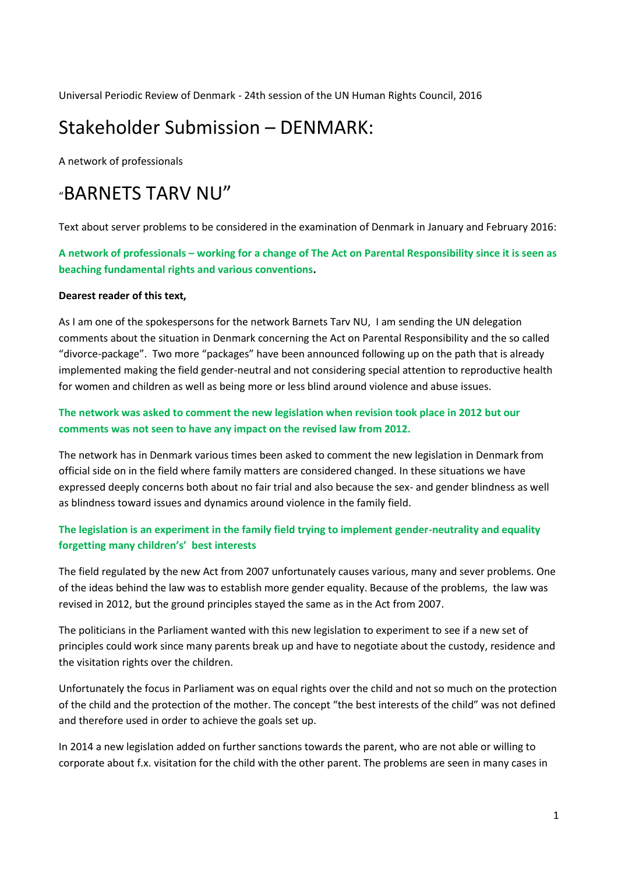Universal Periodic Review of Denmark - 24th session of the UN Human Rights Council, 2016

## Stakeholder Submission – DENMARK:

A network of professionals

# "BARNETS TARV NU"

Text about server problems to be considered in the examination of Denmark in January and February 2016:

**A network of professionals – working for a change of The Act on Parental Responsibility since it is seen as beaching fundamental rights and various conventions.** 

## **Dearest reader of this text,**

As I am one of the spokespersons for the network Barnets Tarv NU, I am sending the UN delegation comments about the situation in Denmark concerning the Act on Parental Responsibility and the so called "divorce-package". Two more "packages" have been announced following up on the path that is already implemented making the field gender-neutral and not considering special attention to reproductive health for women and children as well as being more or less blind around violence and abuse issues.

## **The network was asked to comment the new legislation when revision took place in 2012 but our comments was not seen to have any impact on the revised law from 2012.**

The network has in Denmark various times been asked to comment the new legislation in Denmark from official side on in the field where family matters are considered changed. In these situations we have expressed deeply concerns both about no fair trial and also because the sex- and gender blindness as well as blindness toward issues and dynamics around violence in the family field.

## **The legislation is an experiment in the family field trying to implement gender-neutrality and equality forgetting many children's' best interests**

The field regulated by the new Act from 2007 unfortunately causes various, many and sever problems. One of the ideas behind the law was to establish more gender equality. Because of the problems, the law was revised in 2012, but the ground principles stayed the same as in the Act from 2007.

The politicians in the Parliament wanted with this new legislation to experiment to see if a new set of principles could work since many parents break up and have to negotiate about the custody, residence and the visitation rights over the children.

Unfortunately the focus in Parliament was on equal rights over the child and not so much on the protection of the child and the protection of the mother. The concept "the best interests of the child" was not defined and therefore used in order to achieve the goals set up.

In 2014 a new legislation added on further sanctions towards the parent, who are not able or willing to corporate about f.x. visitation for the child with the other parent. The problems are seen in many cases in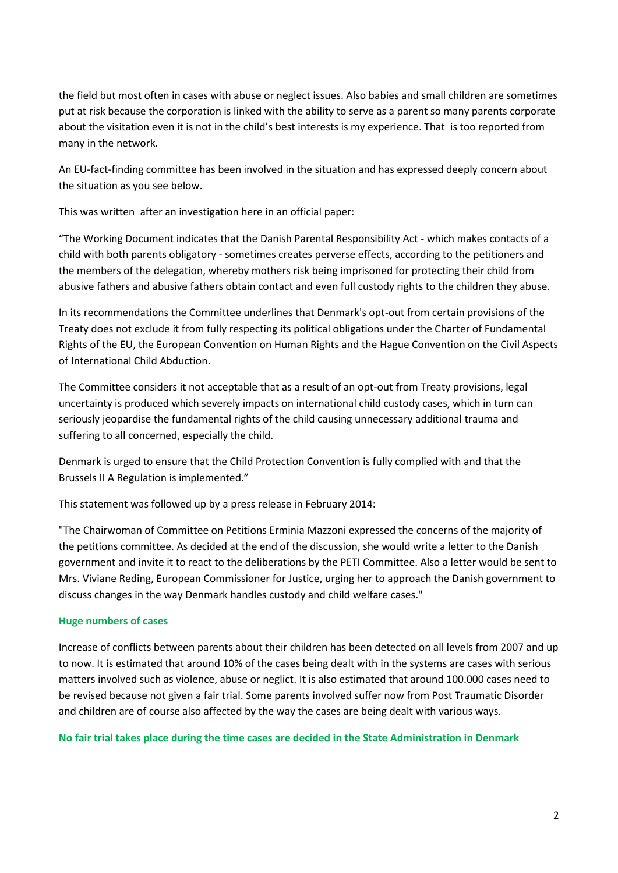the field but most often in cases with abuse or neglect issues. Also babies and small children are sometimes put at risk because the corporation is linked with the ability to serve as a parent so many parents corporate about the visitation even it is not in the child's best interests is my experience. That is too reported from many in the network.

An EU-fact-finding committee has been involved in the situation and has expressed deeply concern about the situation as you see below.

This was written after an investigation here in an official paper:

"The Working Document indicates that the Danish Parental Responsibility Act - which makes contacts of a child with both parents obligatory - sometimes creates perverse effects, according to the petitioners and the members of the delegation, whereby mothers risk being imprisoned for protecting their child from abusive fathers and abusive fathers obtain contact and even full custody rights to the children they abuse.

In its recommendations the Committee underlines that Denmark's opt-out from certain provisions of the Treaty does not exclude it from fully respecting its political obligations under the Charter of Fundamental Rights of the EU, the European Convention on Human Rights and the Hague Convention on the Civil Aspects of International Child Abduction.

The Committee considers it not acceptable that as a result of an opt-out from Treaty provisions, legal uncertainty is produced which severely impacts on international child custody cases, which in turn can seriously jeopardise the fundamental rights of the child causing unnecessary additional trauma and suffering to all concerned, especially the child.

Denmark is urged to ensure that the Child Protection Convention is fully complied with and that the Brussels II A Regulation is implemented."

This statement was followed up by a press release in February 2014:

"The Chairwoman of Committee on Petitions Erminia Mazzoni expressed the concerns of the majority of the petitions committee. As decided at the end of the discussion, she would write a letter to the Danish government and invite it to react to the deliberations by the PETI Committee. Also a letter would be sent to Mrs. Viviane Reding, European Commissioner for Justice, urging her to approach the Danish government to discuss changes in the way Denmark handles custody and child welfare cases."

### **Huge numbers of cases**

Increase of conflicts between parents about their children has been detected on all levels from 2007 and up to now. It is estimated that around 10% of the cases being dealt with in the systems are cases with serious matters involved such as violence, abuse or neglict. It is also estimated that around 100.000 cases need to be revised because not given a fair trial. Some parents involved suffer now from Post Traumatic Disorder and children are of course also affected by the way the cases are being dealt with various ways.

**No fair trial takes place during the time cases are decided in the State Administration in Denmark**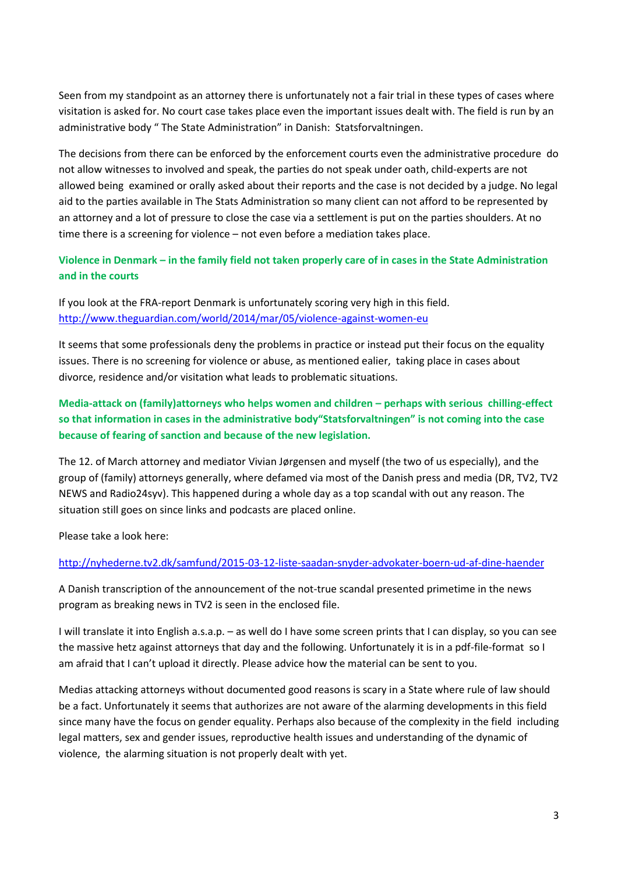Seen from my standpoint as an attorney there is unfortunately not a fair trial in these types of cases where visitation is asked for. No court case takes place even the important issues dealt with. The field is run by an administrative body " The State Administration" in Danish: Statsforvaltningen.

The decisions from there can be enforced by the enforcement courts even the administrative procedure do not allow witnesses to involved and speak, the parties do not speak under oath, child-experts are not allowed being examined or orally asked about their reports and the case is not decided by a judge. No legal aid to the parties available in The Stats Administration so many client can not afford to be represented by an attorney and a lot of pressure to close the case via a settlement is put on the parties shoulders. At no time there is a screening for violence – not even before a mediation takes place.

**Violence in Denmark – in the family field not taken properly care of in cases in the State Administration and in the courts**

If you look at the FRA-report Denmark is unfortunately scoring very high in this field. <http://www.theguardian.com/world/2014/mar/05/violence-against-women-eu>

It seems that some professionals deny the problems in practice or instead put their focus on the equality issues. There is no screening for violence or abuse, as mentioned ealier, taking place in cases about divorce, residence and/or visitation what leads to problematic situations.

**Media-attack on (family)attorneys who helps women and children – perhaps with serious chilling-effect so that information in cases in the administrative body"Statsforvaltningen" is not coming into the case because of fearing of sanction and because of the new legislation.**

The 12. of March attorney and mediator Vivian Jørgensen and myself (the two of us especially), and the group of (family) attorneys generally, where defamed via most of the Danish press and media (DR, TV2, TV2 NEWS and Radio24syv). This happened during a whole day as a top scandal with out any reason. The situation still goes on since links and podcasts are placed online.

Please take a look here:

### <http://nyhederne.tv2.dk/samfund/2015-03-12-liste-saadan-snyder-advokater-boern-ud-af-dine-haender>

A Danish transcription of the announcement of the not-true scandal presented primetime in the news program as breaking news in TV2 is seen in the enclosed file.

I will translate it into English a.s.a.p. – as well do I have some screen prints that I can display, so you can see the massive hetz against attorneys that day and the following. Unfortunately it is in a pdf-file-format so I am afraid that I can't upload it directly. Please advice how the material can be sent to you.

Medias attacking attorneys without documented good reasons is scary in a State where rule of law should be a fact. Unfortunately it seems that authorizes are not aware of the alarming developments in this field since many have the focus on gender equality. Perhaps also because of the complexity in the field including legal matters, sex and gender issues, reproductive health issues and understanding of the dynamic of violence, the alarming situation is not properly dealt with yet.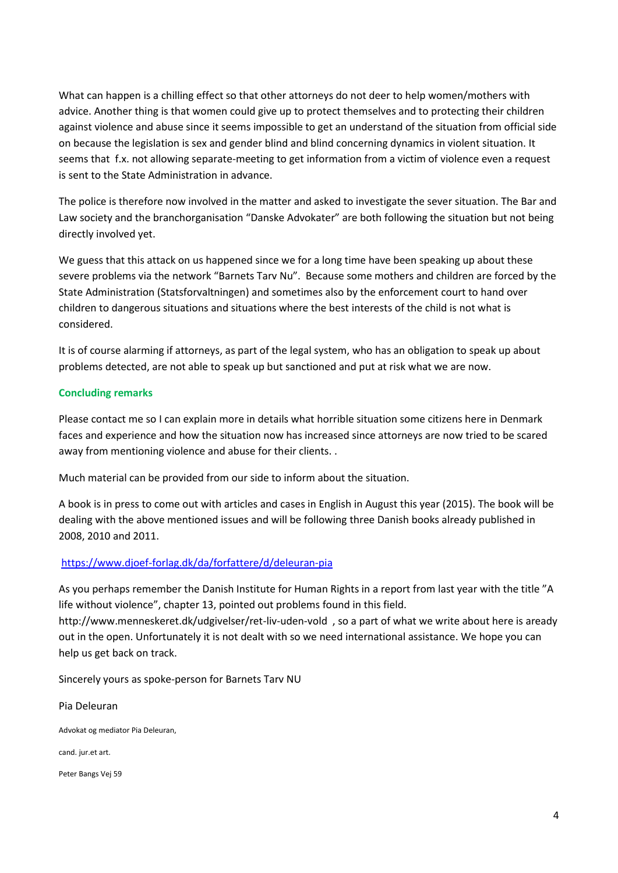What can happen is a chilling effect so that other attorneys do not deer to help women/mothers with advice. Another thing is that women could give up to protect themselves and to protecting their children against violence and abuse since it seems impossible to get an understand of the situation from official side on because the legislation is sex and gender blind and blind concerning dynamics in violent situation. It seems that f.x. not allowing separate-meeting to get information from a victim of violence even a request is sent to the State Administration in advance.

The police is therefore now involved in the matter and asked to investigate the sever situation. The Bar and Law society and the branchorganisation "Danske Advokater" are both following the situation but not being directly involved yet.

We guess that this attack on us happened since we for a long time have been speaking up about these severe problems via the network "Barnets Tarv Nu". Because some mothers and children are forced by the State Administration (Statsforvaltningen) and sometimes also by the enforcement court to hand over children to dangerous situations and situations where the best interests of the child is not what is considered.

It is of course alarming if attorneys, as part of the legal system, who has an obligation to speak up about problems detected, are not able to speak up but sanctioned and put at risk what we are now.

## **Concluding remarks**

Please contact me so I can explain more in details what horrible situation some citizens here in Denmark faces and experience and how the situation now has increased since attorneys are now tried to be scared away from mentioning violence and abuse for their clients. .

Much material can be provided from our side to inform about the situation.

A book is in press to come out with articles and cases in English in August this year (2015). The book will be dealing with the above mentioned issues and will be following three Danish books already published in 2008, 2010 and 2011.

### <https://www.djoef-forlag.dk/da/forfattere/d/deleuran-pia>

As you perhaps remember the Danish Institute for Human Rights in a report from last year with the title "A life without violence", chapter 13, pointed out problems found in this field.

http://www.menneskeret.dk/udgivelser/ret-liv-uden-vold , so a part of what we write about here is aready out in the open. Unfortunately it is not dealt with so we need international assistance. We hope you can help us get back on track.

Sincerely yours as spoke-person for Barnets Tarv NU

Pia Deleuran Advokat og mediator Pia Deleuran, cand. jur.et art. Peter Bangs Vej 59